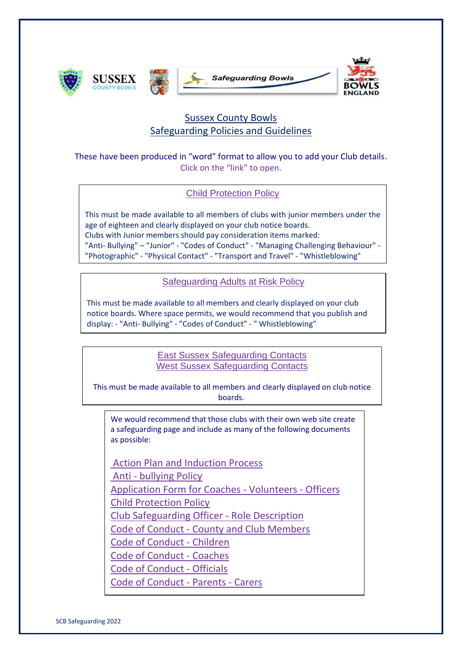







## Sussex County Bowls Safeguarding Policies and Guidelines

These have been produced in "word" format to allow you to add your Club details. Click on the "link" to open.

[Child Protection Policy](http://www.bexhillbowlingclub.org.uk/wp-content/uploads/2020/05/2020-child-protection-policy.docx)

This must be made available to all members of clubs with junior members under the age of eighteen and clearly displayed on your club notice boards. Clubs with Junior members should pay consideration items marked: "Anti- Bullying" – "Junior" - "Codes of Conduct" - "Managing Challenging Behaviour" - "Photographic" - "Physical Contact" - "Transport and Travel" - "Whistleblowing"

[Safeguarding Adults at Risk Policy](http://www.bexhillbowlingclub.org.uk/wp-content/uploads/2020/05/2020-Safeguarding-Adults-at-Risk-Policy.docx)

This must be made available to all members and clearly displayed on your club notice boards. Where space permits, we would recommend that you publish and display: - "Anti- Bullying" - "Codes of Conduct" - " Whistleblowing"

> [East Sussex Safeguarding Contacts](http://www.bexhillbowlingclub.org.uk/wp-content/uploads/2020/05/2020-East-Sussex-Safeguarding-Contacts-1.docx) [West Sussex Safeguarding Contacts](http://www.bexhillbowlingclub.org.uk/wp-content/uploads/2020/05/2020-West-Sussex-Safeguarding-Contacts-1.docx)

This must be made available to all members and clearly displayed on club notice boards.

We would recommend that those clubs with their own web site create a safeguarding page and include as many of the following documents as possible:

[Action Plan and Induction Process](http://www.bexhillbowlingclub.org.uk/wp-content/uploads/2020/05/2020-Action-Plan-and-Induction-Process-2.docx) [A](http://www.bexhillbowlingclub.org.uk/wp-content/uploads/2020/05/2020-Anti-bullying-Policy.docx)nti - [bullying Policy](http://www.bexhillbowlingclub.org.uk/wp-content/uploads/2020/05/2020-Anti-bullying-Policy.docx) [Application Form for Coaches -](http://www.bexhillbowlingclub.org.uk/wp-content/uploads/2020/05/2020-Application-Form-for-Coaches-Volunteers-Officers.docx) Volunteers - Officers [Child Protection Policy](http://www.bexhillbowlingclub.org.uk/wp-content/uploads/2020/05/2020-child-protection-policy.docx) [Club Safeguarding Officer -](http://www.bexhillbowlingclub.org.uk/wp-content/uploads/2020/05/2020-Club-Safeguarding-Officer-Role-Description.docx) Role Description Code of Conduct - [County and Club Members](http://www.bexhillbowlingclub.org.uk/wp-content/uploads/2020/05/2020-Code-of-Conduct-County-and-Club-Members.docx) [Code of Conduct -](http://www.bexhillbowlingclub.org.uk/wp-content/uploads/2020/05/2020-code-of-conduct-children.docx) Children [Code of Conduct -](http://www.bexhillbowlingclub.org.uk/wp-content/uploads/2020/05/2020-code-of-conduct-for-coaches.docx) Coaches [Code of Conduct -](http://www.bexhillbowlingclub.org.uk/wp-content/uploads/2020/05/2020-code-of-conduct-officials.docx) Officials [Code of Conduct -](http://www.bexhillbowlingclub.org.uk/wp-content/uploads/2020/05/2020-code-of-conduct-parents-carers.docx) Parents - Carers